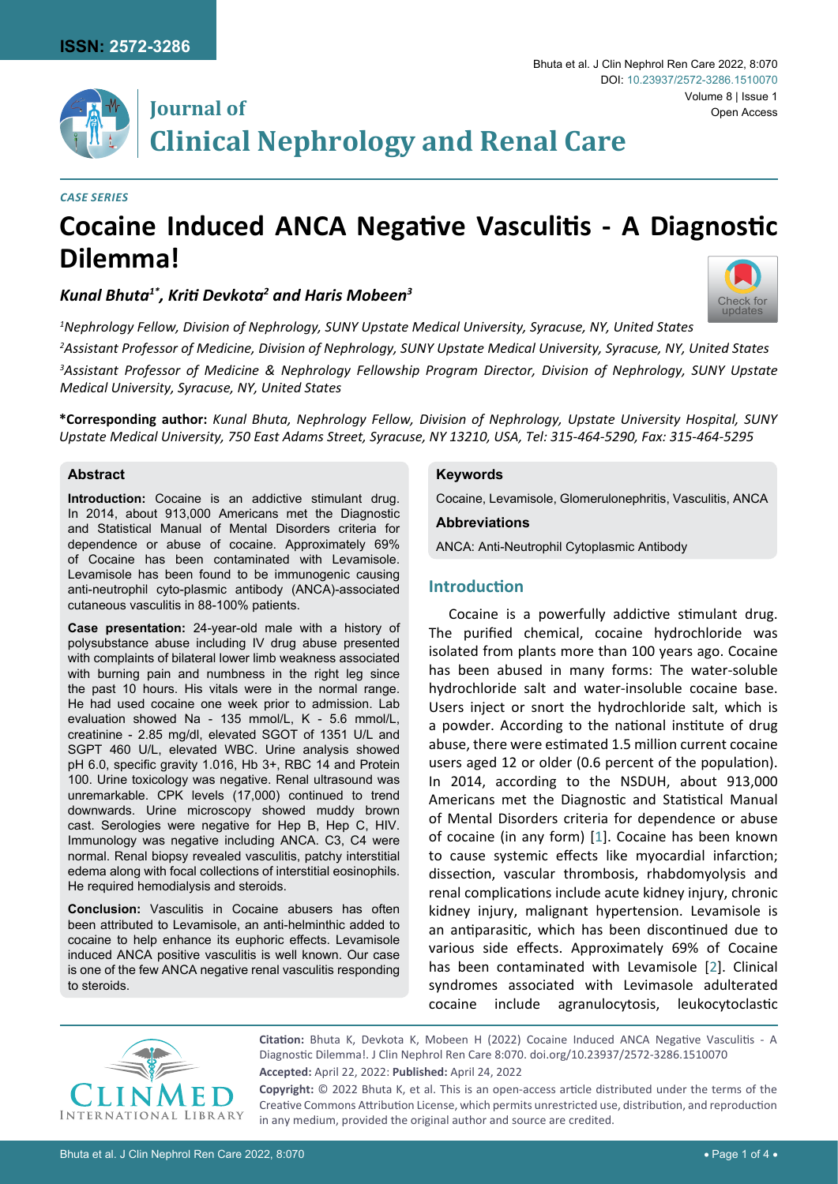

## **Journal of Clinical Nephrology and Renal Care**

#### *Case Series*

# **Cocaine Induced ANCA Negative Vasculitis - A Diagnostic Dilemma!**

## *Kunal Bhuta1\*, Kriti Devkota<sup>2</sup> and Haris Mobeen<sup>3</sup>*

 *Nephrology Fellow, Division of Nephrology, SUNY Upstate Medical University, Syracuse, NY, United States Assistant Professor of Medicine, Division of Nephrology, SUNY Upstate Medical University, Syracuse, NY, United States Assistant Professor of Medicine & Nephrology Fellowship Program Director, Division of Nephrology, SUNY Upstate Medical University, Syracuse, NY, United States*

**\*Corresponding author:** *Kunal Bhuta, Nephrology Fellow, Division of Nephrology, Upstate University Hospital, SUNY Upstate Medical University, 750 East Adams Street, Syracuse, NY 13210, USA, Tel: 315-464-5290, Fax: 315-464-5295*

#### **Abstract**

**Introduction:** Cocaine is an addictive stimulant drug. In 2014, about 913,000 Americans met the Diagnostic and Statistical Manual of Mental Disorders criteria for dependence or abuse of cocaine. Approximately 69% of Cocaine has been contaminated with Levamisole. Levamisole has been found to be immunogenic causing anti-neutrophil cyto-plasmic antibody (ANCA)-associated cutaneous vasculitis in 88-100% patients.

**Case presentation:** 24-year-old male with a history of polysubstance abuse including IV drug abuse presented with complaints of bilateral lower limb weakness associated with burning pain and numbness in the right leg since the past 10 hours. His vitals were in the normal range. He had used cocaine one week prior to admission. Lab evaluation showed Na - 135 mmol/L, K - 5.6 mmol/L, creatinine - 2.85 mg/dl, elevated SGOT of 1351 U/L and SGPT 460 U/L, elevated WBC. Urine analysis showed pH 6.0, specific gravity 1.016, Hb 3+, RBC 14 and Protein 100. Urine toxicology was negative. Renal ultrasound was unremarkable. CPK levels (17,000) continued to trend downwards. Urine microscopy showed muddy brown cast. Serologies were negative for Hep B, Hep C, HIV. Immunology was negative including ANCA. C3, C4 were normal. Renal biopsy revealed vasculitis, patchy interstitial edema along with focal collections of interstitial eosinophils. He required hemodialysis and steroids.

**Conclusion:** Vasculitis in Cocaine abusers has often been attributed to Levamisole, an anti-helminthic added to cocaine to help enhance its euphoric effects. Levamisole induced ANCA positive vasculitis is well known. Our case is one of the few ANCA negative renal vasculitis responding to steroids.

#### **Keywords**

Cocaine, Levamisole, Glomerulonephritis, Vasculitis, ANCA

#### **Abbreviations**

ANCA: Anti-Neutrophil Cytoplasmic Antibody

#### **Introduction**

Cocaine is a powerfully addictive stimulant drug. The purified chemical, cocaine hydrochloride was isolated from plants more than 100 years ago. Cocaine has been abused in many forms: The water-soluble hydrochloride salt and water-insoluble cocaine base. Users inject or snort the hydrochloride salt, which is a powder. According to the national institute of drug abuse, there were estimated 1.5 million current cocaine users aged 12 or older (0.6 percent of the population). In 2014, according to the NSDUH, about 913,000 Americans met the Diagnostic and Statistical Manual of Mental Disorders criteria for dependence or abuse of cocaine (in any form) [[1](#page-2-0)]. Cocaine has been known to cause systemic effects like myocardial infarction; dissection, vascular thrombosis, rhabdomyolysis and renal complications include acute kidney injury, chronic kidney injury, malignant hypertension. Levamisole is an antiparasitic, which has been discontinued due to various side effects. Approximately 69% of Cocaine has been contaminated with Levamisole [[2](#page-2-1)]. Clinical syndromes associated with Levimasole adulterated cocaine include agranulocytosis, leukocytoclastic



**Citation:** Bhuta K, Devkota K, Mobeen H (2022) Cocaine Induced ANCA Negative Vasculitis - A Diagnostic Dilemma!. J Clin Nephrol Ren Care 8:070. [doi.org/10.23937/2572-3286.1510070](https://doi.org/10.23937/2572-3286.1510070) **Accepted:** April 22, 2022: **Published:** April 24, 2022 **Copyright:** © 2022 Bhuta K, et al. This is an open-access article distributed under the terms of the

Creative Commons Attribution License, which permits unrestricted use, distribution, and reproduction in any medium, provided the original author and source are credited.

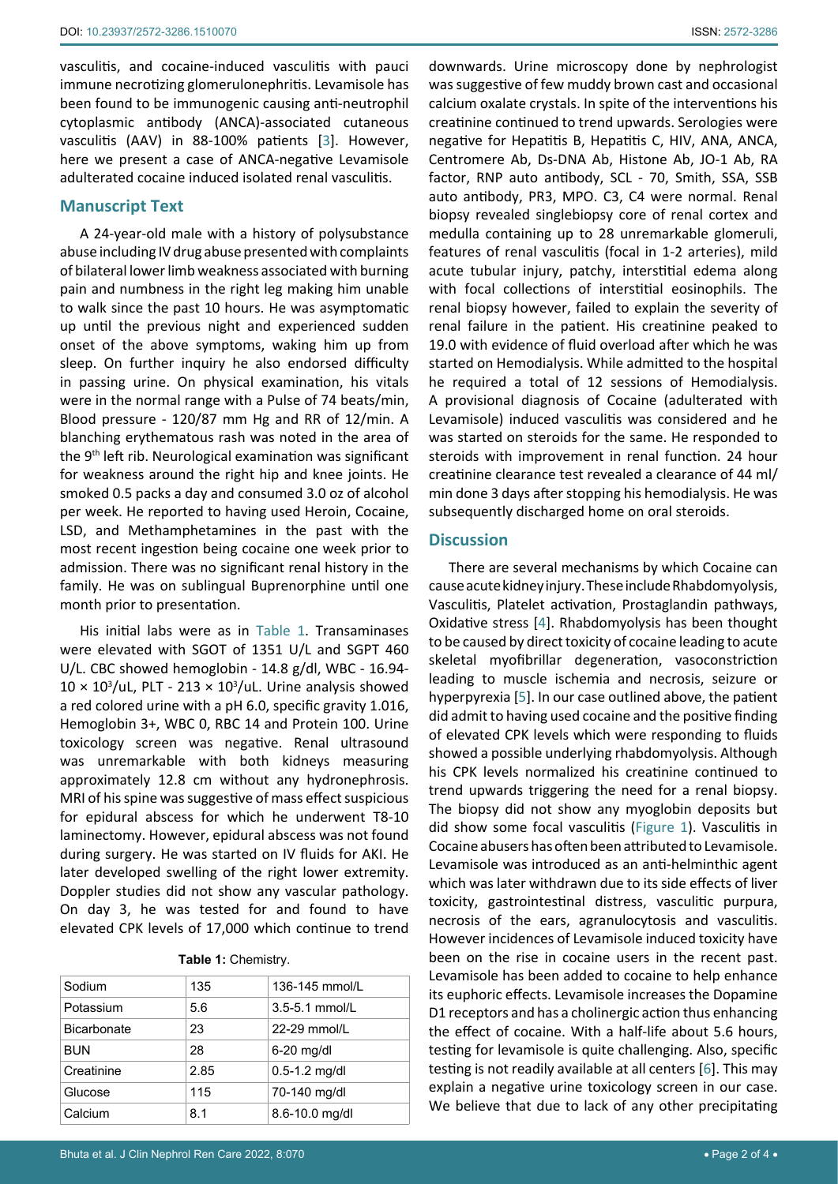vasculitis, and cocaine-induced vasculitis with pauci immune necrotizing glomerulonephritis. Levamisole has been found to be immunogenic causing anti-neutrophil cytoplasmic antibody (ANCA)-associated cutaneous vasculitis (AAV) in 88-100% patients [\[3\]](#page-2-3). However, here we present a case of ANCA-negative Levamisole adulterated cocaine induced isolated renal vasculitis.

#### **Manuscript Text**

A 24-year-old male with a history of polysubstance abuse including IV drug abuse presented with complaints of bilateral lower limb weakness associated with burning pain and numbness in the right leg making him unable to walk since the past 10 hours. He was asymptomatic up until the previous night and experienced sudden onset of the above symptoms, waking him up from sleep. On further inquiry he also endorsed difficulty in passing urine. On physical examination, his vitals were in the normal range with a Pulse of 74 beats/min, Blood pressure - 120/87 mm Hg and RR of 12/min. A blanching erythematous rash was noted in the area of the 9th left rib. Neurological examination was significant for weakness around the right hip and knee joints. He smoked 0.5 packs a day and consumed 3.0 oz of alcohol per week. He reported to having used Heroin, Cocaine, LSD, and Methamphetamines in the past with the most recent ingestion being cocaine one week prior to admission. There was no significant renal history in the family. He was on sublingual Buprenorphine until one month prior to presentation.

His initial labs were as in [Table 1.](#page-1-0) Transaminases were elevated with SGOT of 1351 U/L and SGPT 460 U/L. CBC showed hemoglobin - 14.8 g/dl, WBC - 16.94-  $10 \times 10^3$ /uL, PLT - 213  $\times$  10<sup>3</sup>/uL. Urine analysis showed a red colored urine with a pH 6.0, specific gravity 1.016, Hemoglobin 3+, WBC 0, RBC 14 and Protein 100. Urine toxicology screen was negative. Renal ultrasound was unremarkable with both kidneys measuring approximately 12.8 cm without any hydronephrosis. MRI of his spine was suggestive of mass effect suspicious for epidural abscess for which he underwent T8-10 laminectomy. However, epidural abscess was not found during surgery. He was started on IV fluids for AKI. He later developed swelling of the right lower extremity. Doppler studies did not show any vascular pathology. On day 3, he was tested for and found to have elevated CPK levels of 17,000 which continue to trend

<span id="page-1-0"></span>**Table 1:** Chemistry.

| Sodium             | 135  | 136-145 mmol/L    |
|--------------------|------|-------------------|
| Potassium          | 5.6  | 3.5-5.1 mmol/L    |
| <b>Bicarbonate</b> | 23   | $22-29$ mmol/L    |
| <b>BUN</b>         | 28   | $6-20$ mg/dl      |
| Creatinine         | 2.85 | $0.5 - 1.2$ mg/dl |
| Glucose            | 115  | 70-140 mg/dl      |
| Calcium            | 8.1  | 8.6-10.0 mg/dl    |

downwards. Urine microscopy done by nephrologist was suggestive of few muddy brown cast and occasional calcium oxalate crystals. In spite of the interventions his creatinine continued to trend upwards. Serologies were negative for Hepatitis B, Hepatitis C, HIV, ANA, ANCA, Centromere Ab, Ds-DNA Ab, Histone Ab, JO-1 Ab, RA factor, RNP auto antibody, SCL - 70, Smith, SSA, SSB auto antibody, PR3, MPO. C3, C4 were normal. Renal biopsy revealed singlebiopsy core of renal cortex and medulla containing up to 28 unremarkable glomeruli, features of renal vasculitis (focal in 1-2 arteries), mild acute tubular injury, patchy, interstitial edema along with focal collections of interstitial eosinophils. The renal biopsy however, failed to explain the severity of renal failure in the patient. His creatinine peaked to 19.0 with evidence of fluid overload after which he was started on Hemodialysis. While admitted to the hospital he required a total of 12 sessions of Hemodialysis. A provisional diagnosis of Cocaine (adulterated with Levamisole) induced vasculitis was considered and he was started on steroids for the same. He responded to steroids with improvement in renal function. 24 hour creatinine clearance test revealed a clearance of 44 ml/ min done 3 days after stopping his hemodialysis. He was subsequently discharged home on oral steroids.

#### **Discussion**

There are several mechanisms by which Cocaine can cause acute kidney injury. These include Rhabdomyolysis, Vasculitis, Platelet activation, Prostaglandin pathways, Oxidative stress [\[4\]](#page-3-0). Rhabdomyolysis has been thought to be caused by direct toxicity of cocaine leading to acute skeletal myofibrillar degeneration, vasoconstriction leading to muscle ischemia and necrosis, seizure or hyperpyrexia [\[5](#page-3-1)]. In our case outlined above, the patient did admit to having used cocaine and the positive finding of elevated CPK levels which were responding to fluids showed a possible underlying rhabdomyolysis. Although his CPK levels normalized his creatinine continued to trend upwards triggering the need for a renal biopsy. The biopsy did not show any myoglobin deposits but did show some focal vasculitis ([Figure 1\)](#page-2-2). Vasculitis in Cocaine abusers has often been attributed to Levamisole. Levamisole was introduced as an anti-helminthic agent which was later withdrawn due to its side effects of liver toxicity, gastrointestinal distress, vasculitic purpura, necrosis of the ears, agranulocytosis and vasculitis. However incidences of Levamisole induced toxicity have been on the rise in cocaine users in the recent past. Levamisole has been added to cocaine to help enhance its euphoric effects. Levamisole increases the Dopamine D1 receptors and has a cholinergic action thus enhancing the effect of cocaine. With a half-life about 5.6 hours, testing for levamisole is quite challenging. Also, specific testing is not readily available at all centers [[6](#page-3-2)]. This may explain a negative urine toxicology screen in our case. We believe that due to lack of any other precipitating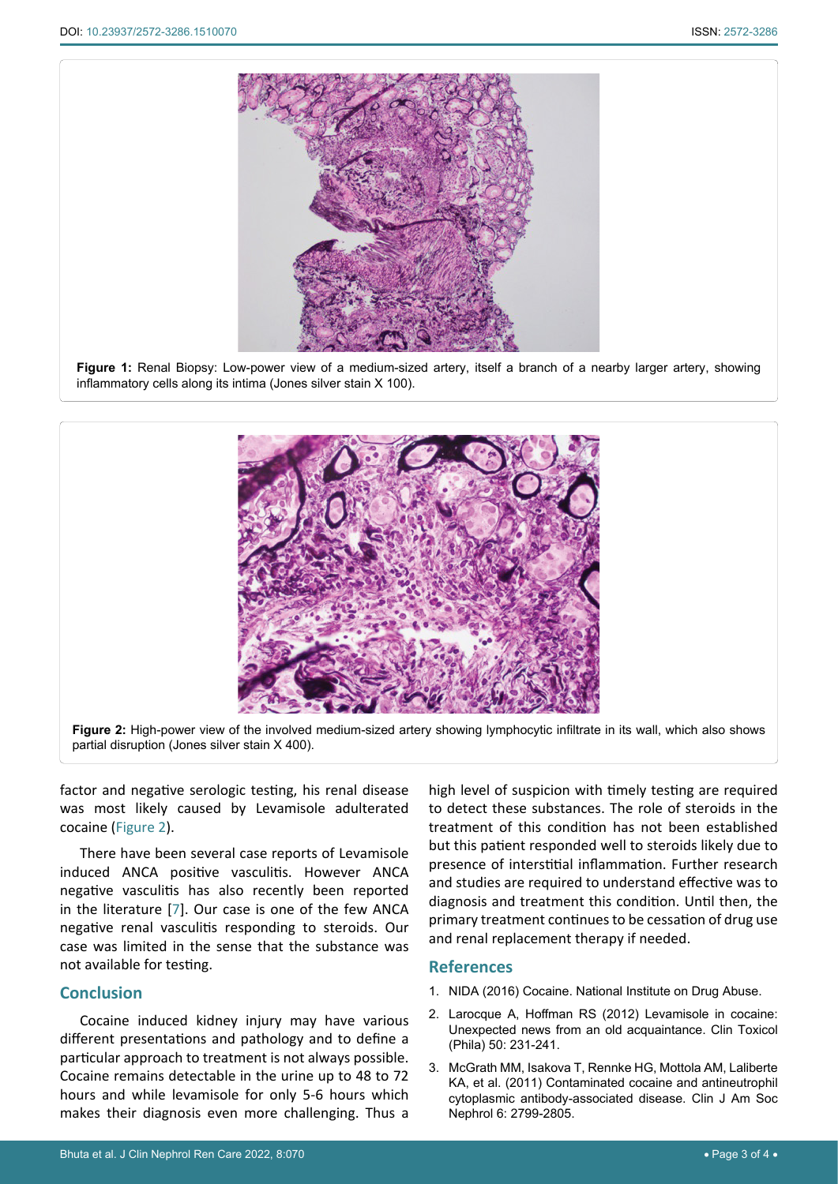<span id="page-2-2"></span>

**Figure 1:** Renal Biopsy: Low-power view of a medium-sized artery, itself a branch of a nearby larger artery, showing inflammatory cells along its intima (Jones silver stain X 100).

<span id="page-2-4"></span>

factor and negative serologic testing, his renal disease was most likely caused by Levamisole adulterated cocaine ([Figure 2](#page-2-4)).

There have been several case reports of Levamisole induced ANCA positive vasculitis. However ANCA negative vasculitis has also recently been reported in the literature [\[7\]](#page-3-3). Our case is one of the few ANCA negative renal vasculitis responding to steroids. Our case was limited in the sense that the substance was not available for testing.

### **Conclusion**

Cocaine induced kidney injury may have various different presentations and pathology and to define a particular approach to treatment is not always possible. Cocaine remains detectable in the urine up to 48 to 72 hours and while levamisole for only 5-6 hours which makes their diagnosis even more challenging. Thus a

high level of suspicion with timely testing are required to detect these substances. The role of steroids in the treatment of this condition has not been established but this patient responded well to steroids likely due to presence of interstitial inflammation. Further research and studies are required to understand effective was to diagnosis and treatment this condition. Until then, the primary treatment continues to be cessation of drug use and renal replacement therapy if needed.

#### **References**

- <span id="page-2-0"></span>1. [NIDA \(2016\) Cocaine. National Institute on Drug Abuse.](https://nida.nih.gov/publications/research-reports/cocaine/what-cocaine)
- <span id="page-2-1"></span>2. [Larocque A, Hoffman RS \(2012\) Levamisole in cocaine:](https://pubmed.ncbi.nlm.nih.gov/22455354/)  [Unexpected news from an old acquaintance. Clin Toxicol](https://pubmed.ncbi.nlm.nih.gov/22455354/)  [\(Phila\) 50: 231-241.](https://pubmed.ncbi.nlm.nih.gov/22455354/)
- <span id="page-2-3"></span>3. [McGrath MM, Isakova T, Rennke HG, Mottola AM, Laliberte](https://pubmed.ncbi.nlm.nih.gov/21980179/)  [KA, et al. \(2011\) Contaminated cocaine and antineutrophil](https://pubmed.ncbi.nlm.nih.gov/21980179/)  [cytoplasmic antibody-associated disease. Clin J Am Soc](https://pubmed.ncbi.nlm.nih.gov/21980179/)  [Nephrol 6: 2799-2805.](https://pubmed.ncbi.nlm.nih.gov/21980179/)